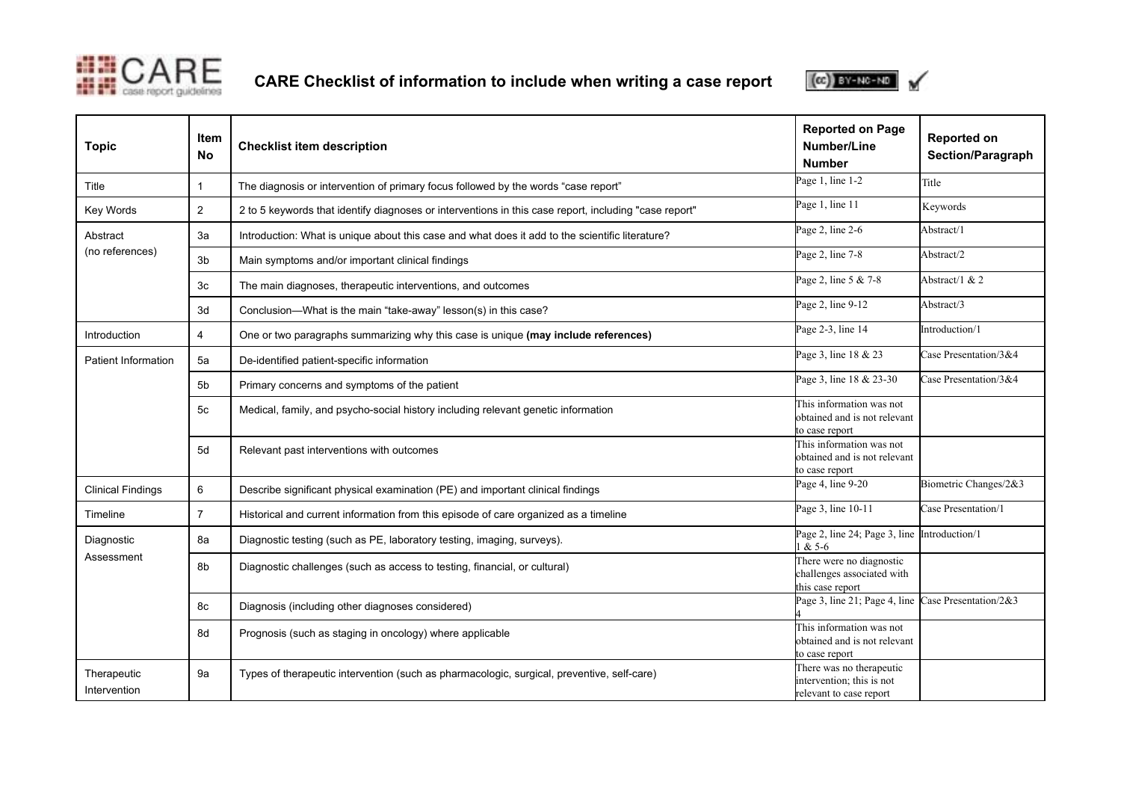

**CARE Checklist of information to include when writing a case report**



| <b>Topic</b>                | Item<br><b>No</b>       | <b>Checklist item description</b>                                                                     | <b>Reported on Page</b><br>Number/Line<br><b>Number</b>                          | <b>Reported on</b><br><b>Section/Paragraph</b> |
|-----------------------------|-------------------------|-------------------------------------------------------------------------------------------------------|----------------------------------------------------------------------------------|------------------------------------------------|
| Title                       | $\mathbf{1}$            | The diagnosis or intervention of primary focus followed by the words "case report"                    | Page 1, line 1-2                                                                 | Title                                          |
| Key Words                   | $\overline{2}$          | 2 to 5 keywords that identify diagnoses or interventions in this case report, including "case report" | Page 1, line 11                                                                  | Keywords                                       |
| Abstract<br>(no references) | 3a                      | Introduction: What is unique about this case and what does it add to the scientific literature?       | Page 2, line 2-6                                                                 | Abstract/1                                     |
|                             | 3 <sub>b</sub>          | Main symptoms and/or important clinical findings                                                      | Page 2, line 7-8                                                                 | Abstract/2                                     |
|                             | 3 <sub>c</sub>          | The main diagnoses, therapeutic interventions, and outcomes                                           | Page 2, line 5 & 7-8                                                             | Abstract/1 $& 2$                               |
|                             | 3d                      | Conclusion-What is the main "take-away" lesson(s) in this case?                                       | Page 2, line 9-12                                                                | Abstract/3                                     |
| Introduction                | $\overline{\mathbf{4}}$ | One or two paragraphs summarizing why this case is unique (may include references)                    | Page 2-3, line 14                                                                | Introduction/1                                 |
| Patient Information         | 5a                      | De-identified patient-specific information                                                            | Page 3, line 18 & 23                                                             | Case Presentation/3&4                          |
|                             | 5b                      | Primary concerns and symptoms of the patient                                                          | Page 3, line 18 & 23-30                                                          | Case Presentation/3&4                          |
|                             | 5с                      | Medical, family, and psycho-social history including relevant genetic information                     | This information was not<br>obtained and is not relevant<br>to case report       |                                                |
|                             | 5d                      | Relevant past interventions with outcomes                                                             | This information was not<br>obtained and is not relevant<br>to case report       |                                                |
| <b>Clinical Findings</b>    | 6                       | Describe significant physical examination (PE) and important clinical findings                        | Page 4, line 9-20                                                                | Biometric Changes/2&3                          |
| Timeline                    | $\overline{7}$          | Historical and current information from this episode of care organized as a timeline                  | Page 3, line 10-11                                                               | Case Presentation/1                            |
| Diagnostic<br>Assessment    | 8a                      | Diagnostic testing (such as PE, laboratory testing, imaging, surveys).                                | Page 2, line 24; Page 3, line Introduction/1<br>$1 & 5 - 6$                      |                                                |
|                             | 8b                      | Diagnostic challenges (such as access to testing, financial, or cultural)                             | There were no diagnostic<br>challenges associated with<br>this case report       |                                                |
|                             | 8c                      | Diagnosis (including other diagnoses considered)                                                      | Page 3, line 21; Page 4, line Case Presentation/2&3                              |                                                |
|                             | 8d                      | Prognosis (such as staging in oncology) where applicable                                              | This information was not<br>obtained and is not relevant<br>to case report       |                                                |
| Therapeutic<br>Intervention | 9a                      | Types of therapeutic intervention (such as pharmacologic, surgical, preventive, self-care)            | There was no therapeutic<br>intervention; this is not<br>relevant to case report |                                                |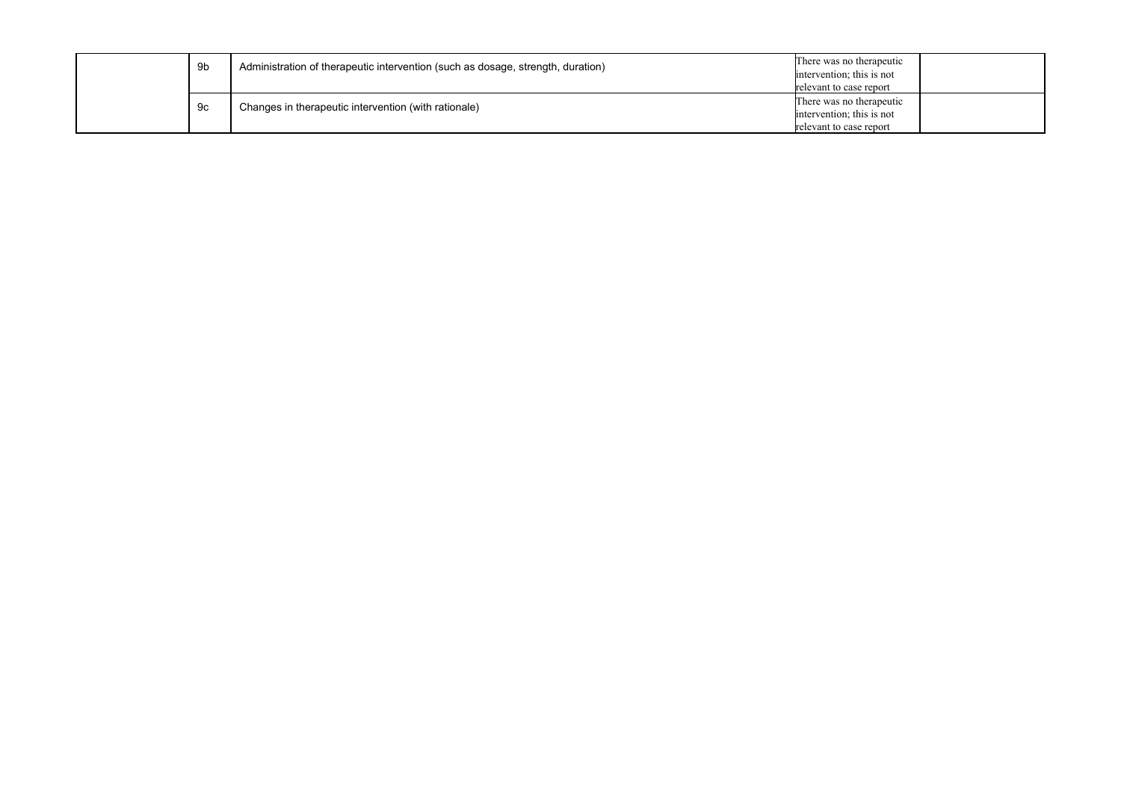|  | 9b | Administration of therapeutic intervention (such as dosage, strength, duration) | There was no therapeutic<br>intervention; this is not<br>relevant to case report |
|--|----|---------------------------------------------------------------------------------|----------------------------------------------------------------------------------|
|  | 9с | Changes in therapeutic intervention (with rationale)                            | There was no therapeutic<br>intervention; this is not<br>relevant to case report |